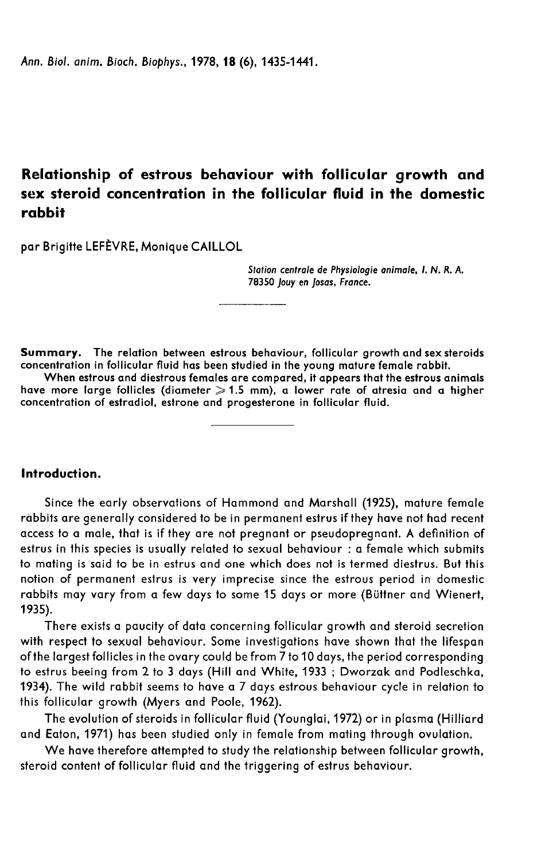Ann. Biol. anim. Bioch. Biophys., 1978, 18 (6), 1435-1441.

# Relationship of estrous behaviour with follicular growth and sex steroid concentration in the follicular fluid in the domestic rabbit

par Brigitte LEFÈVRE, Monique CAILLOL

Station centrale de Physiologie animale, 1. N. R. A. 78350 Jouy en Josas, France.

Summary. The relation between estrous behaviour, follicular growth and sex steroids concentration in follicular fluid has been studied in the young mature female rabbit.

When estrous and diestrous females are compared, it appears that the estrous animals have more large follicles (diameter  $\geqslant$  1.5 mm), a lower rate of atresia and a higher concentration of estradiol, estrone and progesterone in follicular fluid.

## Introduction.

Since the early observations of Hammond and Marshall (1925), mature female rabbits are generally considered to be in permanent estrus if they have not had recent access to a male, that is if they are not pregnant or pseudopregnant. A definition of estrus in this species is usually related to sexual behaviour : a female which submits to mating is said to be in estrus and one which does not is termed diestrus. But this notion of permanent estrus is very imprecise since the estrous period in domestic rabbits may vary from a few days to some 15 days or more (Buttner and Wienert, 1935).

There exists a paucity of data concerning follicular growth and steroid secretion with respect to sexual behaviour. Some investigations have shown that the lifespan ofthe largest follicles in the ovary could be from 7 to 10 days, the period corresponding to estrus beeing from 2 to 3 days (Hill and White, 1933 ; Dworzak and Podleschka, 1934). The wild rabbit seems to have a 7 days estrous behaviour cycle in relation to this follicular growth (Myers and Poole, 1962).

The evolution of steroids in follicular fluid (Younglai, 1972) or in plasma (Hilliard and Eaton, 1971) has been studied only in female from mating through ovulation.

We have therefore attempted to study the relationship between follicular growth, steroid content of follicular fluid and the triggering of estrus behaviour.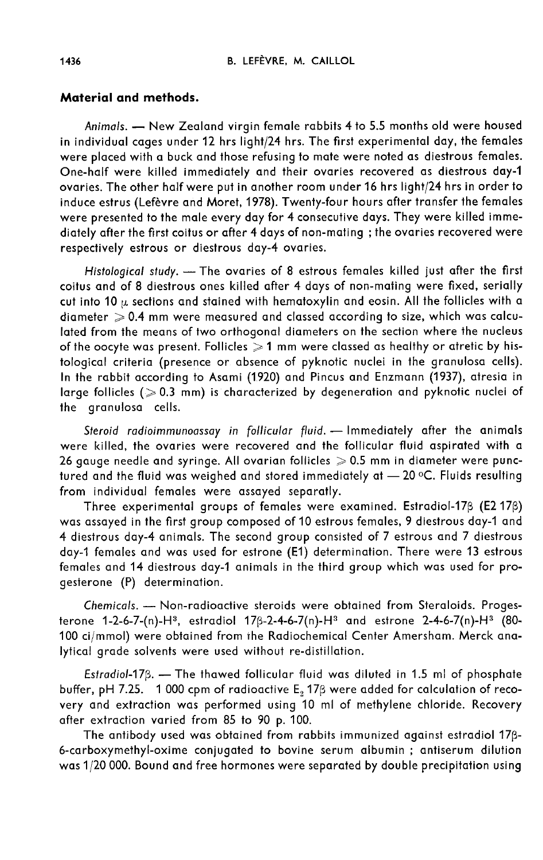### Material and methods.

Animals. - New Zealand virgin female rabbits 4 to 5.5 months old were housed in individual cages under 12 hrs light/24 hrs. The first experimental day, the females were placed with a buck and those refusing to mate were noted as diestrous females. One-half were killed immediately and their ovaries recovered as diestrous day-1 ovaries. The other half were put in another room under 16 hrs light/24 hrs in order to induce estrus (Lefèvre and Moret, 1978). Twenty-four hours after transfer the females were presented to the male every day for 4 consecutive days. They were killed immediately after the first coitus or after 4 days of non-mating ; the ovaries recovered were respectively estrous or diestrous day-4 ovaries.

Histological study. - The ovaries of 8 estrous females killed just after the first coitus and of 8 diestrous ones killed after 4 days of non-mating were fixed, serially cut into 10  $\mu$  sections and stained with hematoxylin and eosin. All the follicles with a  $diameter > 0.4$  mm were measured and classed according to size, which was calculated from the means of two orthogonal diameters on the section where the nucleus of the oocyte was present. Follicles  $\geqslant$  1 mm were classed as healthy or atretic by histological criteria (presence or absence of pyknotic nuclei in the granulosa cells). In the rabbit according to Asami (1920) and Pincus and Enzmann (1937), atresia in large follicles ( $>0.3$  mm) is characterized by degeneration and pyknotic nuclei of the granulosa cells.

Steroid radioimmunoassay in follicular fluid. - Immediately after the animals were killed, the ovaries were recovered and the follicular fluid aspirated with a 26 gauge needle and syringe. All ovarian follicles  $\geqslant$  0.5 mm in diameter were punctured and the fluid was weighed and stored immediately at  $-20$  °C. Fluids resulting from individual females were assayed separatly.

Three experimental groups of females were examined. Estradiol-17 $\beta$  (E2 17 $\beta$ ) was assayed in the first group composed of 10 estrous females, 9 diestrous day-1 and 4 diestrous day-4 animals. The second group consisted of 7 estrous and 7 diestrous day-1 females and was used for estrone (E1) determination. There were 13 estrous females and 14 diestrous day-1 animals in the third group which was used for progesterone (P) determination.

Chemicals. - Non-radioactive steroids were obtained from Steraloids. Progesterone 1-2-6-7-(n)-H<sup>3</sup>, estradiol 17 $\beta$ -2-4-6-7(n)-H<sup>3</sup> and estrone 2-4-6-7(n)-H<sup>3</sup> (80-100 ci/mmol) were obtained from the Radiochemical Center Amersham. Merck analytical grade solvents were used without re-distillation.

Estradiol-17 $\beta$ . - The thawed follicular fluid was diluted in 1.5 ml of phosphate buffer, pH 7.25. 1 000 cpm of radioactive  $E_2$  17 $\beta$  were added for calculation of recovery and extraction was performed using 10 ml of methylene chloride. Recovery after extraction varied from 85 to 90 p. 100.

The antibody used was obtained from rabbits immunized against estradiol 17p-6-carboxymethyl-oxime conjugated to bovine serum albumin ; antiserum dilution was 1/20 000. Bound and free hormones were separated by double precipitation using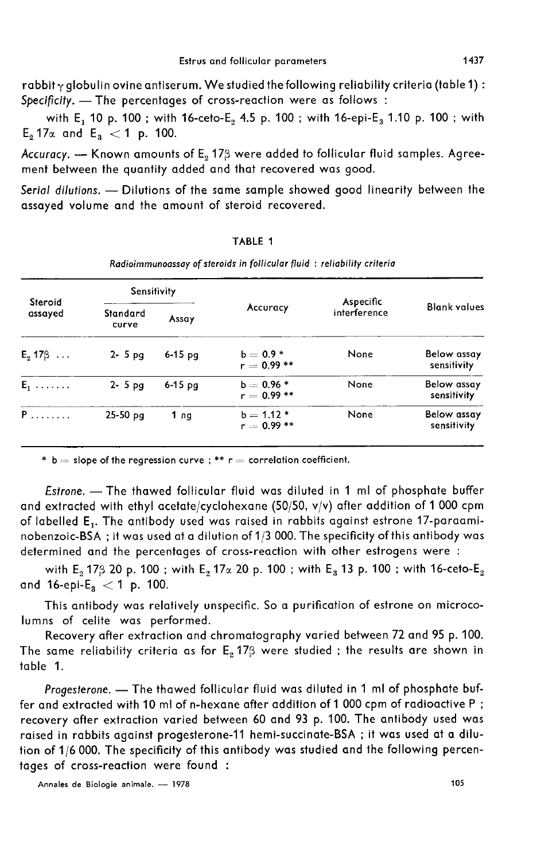rabbit  $\gamma$  globulin ovine antiserum. We studied the following reliability criteria (table 1) : Specificity. - The percentages of cross-reaction were as follows :

with E<sub>1</sub> 10 p. 100 ; with 16-ceto-E<sub>2</sub> 4.5 p. 100 ; with 16-epi-E<sub>3</sub> 1.10 p. 100 ; with bpecificity. — The percentag<br>with  $E_1$  10 p. 100; with<br> $E_2$  17 $\alpha$  and  $E_3 < 1$  p. 100.

Accuracy.  $-$  Known amounts of  $E_2$  17 $\beta$  were added to follicular fluid samples. Agreement between the quantity added and that recovered was good.

Serial dilutions. - Dilutions of the same sample showed good linearity between the assayed volume and the amount of steroid recovered.

| Steroid<br>assayed | <b>Sensitivity</b> |           |                              | Aspecific    |                            |
|--------------------|--------------------|-----------|------------------------------|--------------|----------------------------|
|                    | Standard<br>curve  | Assay     | Accuracy                     | interference | <b>Blank values</b>        |
| $E_2$ 17 $\beta$   | $2 - 5$ pg         | $6-15$ pq | $b = 0.9 *$<br>$r = 0.99**$  | None         | Below assay<br>sensitivity |
| $E_1$              | $2 - 5$ pg         | $6-15$ pg | $b = 0.96 *$<br>$r = 0.99**$ | None         | Below assay<br>sensitivity |
| P.                 | $25-50$ pq         | 1 ng      | $b = 1.12*$<br>$r = 0.99$ ** | None         | Below assay<br>sensitivity |

TABLE 1 Radioimmunoassay of steroids in follicular fluid : reliability criteria

\* b = slope of the regression curve ; \*\*  $r =$  correlation coefficient.

Estrone. - The thawed follicular fluid was diluted in 1 ml of phosphate buffer and extracted with ethyl acetate/cyclohexane (50/50, v/v) after addition of 1 000 cpm of labelled E,. The antibody used was raised in rabbits against estrone 17-paraaminobenzoic-BSA ; it was used at a dilution of 113 000. The specificity of this antibody was determined and the percentages of cross-reaction with other estrogens were :

with  $E_2$  17 $\beta$  20 p. 100 ; with  $E_2$  17 $\alpha$  20 p. 100 ; with  $E_3$  13 p. 100 ; with 16-ceto- $E_2$  and 16-epi- $E_3$  < 1 p. 100. nobenzoic-BSA ; it was used<br>determined and the percential of the percential  $E_2$  17 $\beta$  20 p. 100;<br>and 16-epi-E<sub>3</sub>  $<$  1 p. 100.<br>This antibody was rela

This antibody was relatively unspecific. So a purification of estrone on microcolumns of celite was performed.

Recovery after extraction and chromatography varied between 72 and 95 p. 100. The same reliability criteria as for  $E_2$  17 $\beta$  were studied ; the results are shown in table 1.

Progesterone. - The thawed follicular fluid was diluted in 1 ml of phosphate buffer and extracted with 10 ml of n-hexane after addition of 1 000 cpm of radioactive P ; recovery after extraction varied between 60 and 93 p. 100. The antibody used was raised in rabbits against progesterone-11 hemi-succinate-BSA ; it was used at a dilution of 1/6 000. The specificity of this antibody was studied and the following percentages of cross-reaction were found :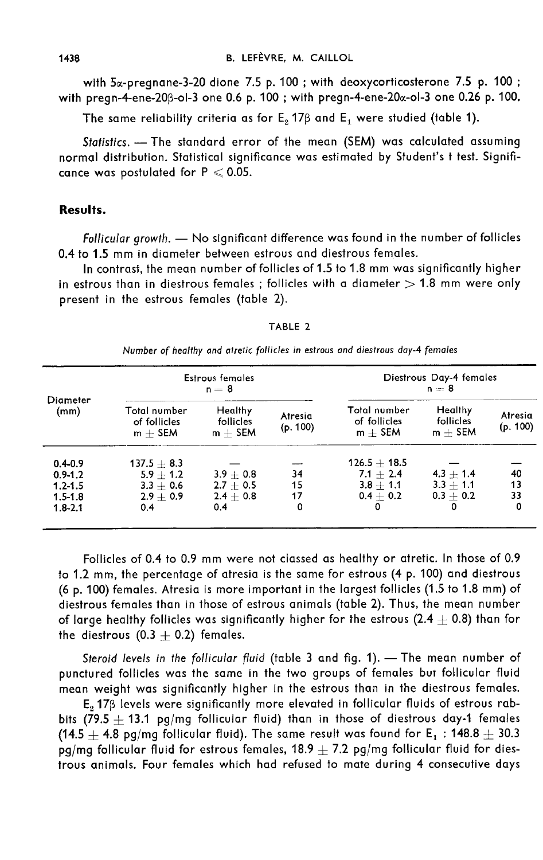with 5<sub>x-pregnane-3-20</sub> dione 7.5 p. 100; with deoxycorticosterone 7.5 p. 100; with pregn-4-ene-20 $\beta$ -ol-3 one 0.6 p. 100; with pregn-4-ene-20 $\alpha$ -ol-3 one 0.26 p. 100.

The same reliability criteria as for  $E_2$  17 $\beta$  and  $E_1$  were studied (table 1).

Statistics. - The standard error of the mean (SEM) was calculated assuming normal distribution. Statistical significance was estimated by Student's t test. Significance was postulated for  $P \le 0.05$ .

#### Results.

Follicular growth.  $-$  No significant difference was found in the number of follicles 0.4 to 1.5 mm in diameter between estrous and diestrous females.

In contrast, the mean number of follicles of 1.5 to 1.8 mm was significantly higher in estrous than in diestrous females ; follicles with a diameter  $> 1.8$  mm were only present in the estrous females (table 2).

| Diameter<br>(mm) | <b>Estrous females</b><br>$n = 8$         |                                   |                     | Diestrous Day-4 females<br>$n=8$          |                                   |                     |
|------------------|-------------------------------------------|-----------------------------------|---------------------|-------------------------------------------|-----------------------------------|---------------------|
|                  | Total number<br>of follicles<br>$m +$ SEM | Healthy<br>follicles<br>$m +$ SEM | Atresia<br>(p. 100) | Total number<br>of follicles<br>$m +$ SEM | Healthy<br>follicles<br>$m +$ SEM | Atresia<br>(p. 100) |
| $0.4 - 0.9$      | $137.5 + 8.3$                             |                                   |                     | $126.5 + 18.5$                            |                                   |                     |
| $0.9 - 1.2$      | $5.9 + 1.2$                               | $3.9 + 0.8$                       | 34                  | $7.1 + 2.4$                               | $4.3 + 1.4$                       | 40                  |
| $1.2 - 1.5$      | $3.3 + 0.6$                               | $2.7 + 0.5$                       | 15                  | $3.8 + 1.1$                               | $3.3 + 1.1$                       | 13                  |
| $1.5 - 1.8$      | $2.9 + 0.9$                               | $2.4 + 0.8$                       | 17                  | $0.4 + 0.2$                               | $0.3 + 0.2$                       | 33                  |
| $1.8 - 2.1$      | 0.4                                       | 0.4                               | 0                   | $\Omega$                                  | ٥                                 | 0                   |

TABLE 2

Number of healthy and atretic follicles in estrous and diestrous day-4 females

Follicles of 0.4 to 0.9 mm were not classed as healthy or atretic. In those of 0.9 to 1.2 mm, the percentage of atresia is the same for estrous (4 p. 100) and diestrous (6 p. 100) females. Atresia is more important in the largest follicles (1.5 to 1.8 mm) of diestrous females than in those of estrous animals (table 2). Thus, the mean number of large healthy follicles was significantly higher for the estrous (2.4  $\pm$  0.8) than for the diestrous  $(0.3 + 0.2)$  females.

Steroid levels in the follicular fluid (table 3 and fig. 1).  $-$  The mean number of punctured follicles was the same in the two groups of females but follicular fluid mean weight was significantly higher in the estrous than in the diestrous females.

 $E<sub>2</sub>$  17 $\beta$  levels were significantly more elevated in follicular fluids of estrous rabbits  $(79.5 + 13.1 \text{ pg/mg}$  follicular fluid) than in those of diestrous day-1 females (14.5  $\pm$  4.8 pg/mg follicular fluid). The same result was found for E<sub>1</sub> : 148.8  $\pm$  30.3 pg/mg follicular fluid for estrous females,  $18.9 \pm 7.2$  pg/mg follicular fluid for diestrous animals. Four females which had refused to mate during 4 consecutive days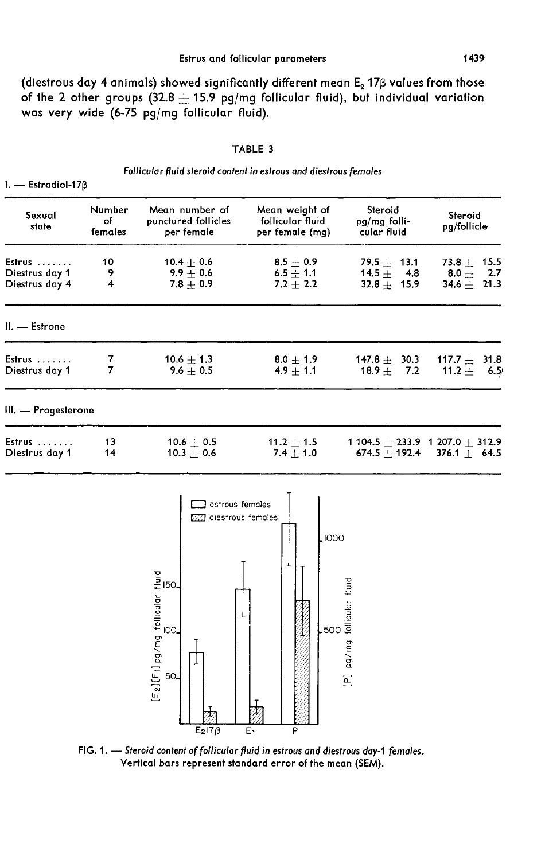(diestrous day 4 animals) showed significantly different mean  $E_2$  17 $\beta$  values from those of the 2 other groups  $(32.8 \pm 15.9$  pg/mg follicular fluid), but individual variation was very wide (6-75 pg/mg follicular fluid).

| Ω<br>۰pL<br>м | ш |  |
|---------------|---|--|
|---------------|---|--|

| Follicular fluid steroid content in estrous and diestrous females |  |  |  |  |
|-------------------------------------------------------------------|--|--|--|--|
|-------------------------------------------------------------------|--|--|--|--|

 $I. -$  Estradiol-17 $\beta$ 

| Sexual<br>state                            | Number<br>of<br>females | Mean number of<br>punctured follicles<br>per female                                                                                                                                                           | Mean weight of<br>follicular fluid<br>per female (mg) | Steroid<br>pg/mg folli-<br>cular fluid                           | Steroid<br>pg/follicle                                       |
|--------------------------------------------|-------------------------|---------------------------------------------------------------------------------------------------------------------------------------------------------------------------------------------------------------|-------------------------------------------------------|------------------------------------------------------------------|--------------------------------------------------------------|
| Estrus<br>Diestrus day 1<br>Diestrus day 4 | 10<br>9<br>4            | 10.4 $\pm$ 0.6<br>$9.9 \pm 0.6$<br>$7.8 \pm 0.9$                                                                                                                                                              | $8.5 \pm 0.9$<br>$6.5 \pm 1.1$<br>$7.2 \pm 2.2$       | 79.5 $\pm$ 13.1<br>14.5 $\pm$<br>4.8<br>$32.8 +$<br>15.9         | 73.8 $\pm$<br>15.5<br>8.0 $\pm$<br>2.7<br>34.6 $\pm$<br>21.3 |
| II. - Estrone                              |                         |                                                                                                                                                                                                               |                                                       |                                                                  |                                                              |
| Estrus<br>Diestrus day 1                   | 7<br>7                  | 10.6 $\pm$ 1.3<br>9.6 $\pm$ 0.5                                                                                                                                                                               | $8.0 \pm 1.9$<br>$4.9 \pm 1.1$                        | 147.8 $\pm$ 30.3<br>18.9 $\pm$<br>7.2                            | 117.7 $\pm$<br>31.8<br>11.2 $\pm$<br>6.5                     |
| III. - Progesterone                        |                         |                                                                                                                                                                                                               |                                                       |                                                                  |                                                              |
| Estrus<br>Diestrus day 1                   | 13<br>14                | $10.6 + 0.5$<br>$10.3 \pm 0.6$                                                                                                                                                                                | 11.2 $\pm$ 1.5<br>$7.4 \pm 1.0$                       | $674.5 + 192.4$                                                  | 1 104.5 $\pm$ 233.9 1 207.0 $\pm$ 312.9<br>$376.1 + 64.5$    |
|                                            |                         | $\Box$ estrous females<br>diestrous females<br>[Ez][Eı] pg/mg follicular fluid<br> S<br> S<br>50<br>$E_2$ 17 $\beta$<br>FIG, 1, - Steroid content of follicular fluid in estrous and diestrous day-1 females. | ,1000<br>.500<br>P<br>E۱                              | pg/mg follicular fluid<br>$\begin{bmatrix} 1 \\ 2 \end{bmatrix}$ |                                                              |

Vertical bars represent standard error of the mean (SEM).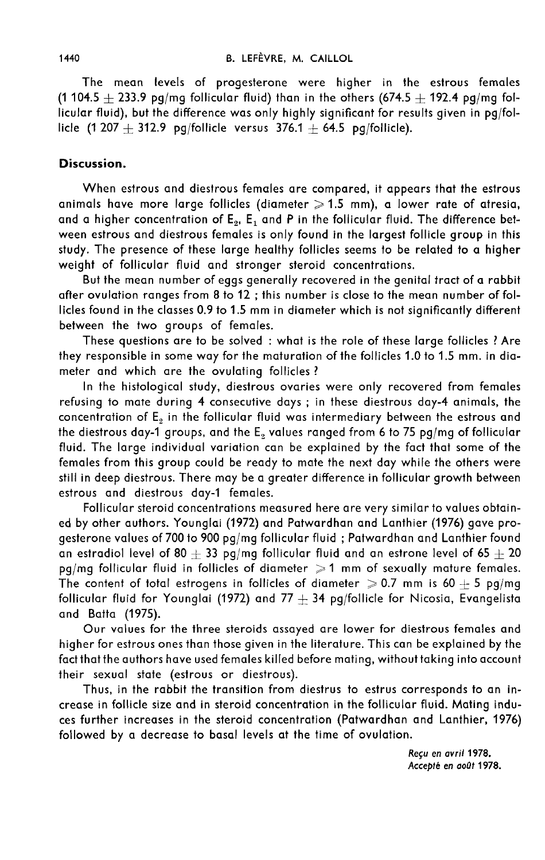The mean levels of progesterone were higher in the estrous females (1 104.5  $+$  233.9 pg/mg follicular fluid) than in the others (674.5  $+$  192.4 pg/mg fol- $\frac{1}{2}$  and  $\frac{1}{2}$  and  $\frac{1}{2}$  and  $\frac{1}{2}$  and  $\frac{1}{2}$  and  $\frac{1}{2}$  and  $\frac{1}{2}$  and  $\frac{1}{2}$  and  $\frac{1}{2}$  and  $\frac{1}{2}$  and  $\frac{1}{2}$  and  $\frac{1}{2}$  and  $\frac{1}{2}$  and  $\frac{1}{2}$  and  $\frac{1}{2}$  and  $\frac{1}{2}$  a licle  $(1\,207 + 312.9)$  pg/follicle versus  $376.1 + 64.5$  pg/follicle).

#### Discussion.

When estrous and diestrous females are compared, it appears that the estrous animals have more large follicles (diameter  $\geqslant$  1.5 mm), a lower rate of atresia, and a higher concentration of  $E_{2}$ ,  $E_{1}$  and P in the follicular fluid. The difference between estrous and diestrous females is only found in the largest follicle group in this study. The presence of these large healthy follicles seems to be related to a higher weight of follicular fluid and stronger steroid concentrations.

But the mean number of eggs generally recovered in the genital tract of a rabbit after ovulation ranges from 8 to 12 ; this number is close to the mean number of follicles found in the classes 0.9 to 1.5 mm in diameter which is not significantly different between the two groups of females.

These questions are to be solved : what is the role of these large follicles ? Are they responsible in some way for the maturation of the follicles 1.0 to 1.5 mm. in diameter and which are the ovulating follicles ?

In the histological study, diestrous ovaries were only recovered from females refusing to mate during 4 consecutive days ; in these diestrous day-4 animals, the concentration of  $E<sub>2</sub>$  in the follicular fluid was intermediary between the estrous and the diestrous day-1 groups, and the E, values ranged from 6 to 75 pg/mg of follicular fluid. The large individual variation can be explained by the fact that some of the females from this group could be ready to mate the next day while the others were still in deep diestrous. There may be a greater difference in follicular growth between estrous and diestrous day-1 females.

Follicular steroid concentrations measured here are very similar to values obtained by other authors. Younglai (1972) and Patwardhan and Lanthier (1976) gave progesterone values of 700 to 900 pg/mg follicular fluid ; Patwardhan and Lanthier found an estradiol level of 80  $+$  33 pg/mg follicular fluid and an estrone level of 65  $+$  20 pg/mg follicular fluid in follicles of diameter  $\geqslant$  1 mm of sexually mature females. The content of total estrogens in follicles of diameter  $\geqslant$  0.7 mm is 60  $\pm$  5 pg/mg follicular fluid for Younglai (1972) and 77  $+$  34 pg/follicle for Nicosia, Evangelista and Batta (1975).

Our values for the three steroids assayed are lower for diestrous females and higher for estrous ones than those given in the literature. This can be explained by the fact that the authors have used females killed before mating, without taking into account their sexual state (estrous or diestrous).

Thus, in the rabbit the transition from diestrus to estrus corresponds to an increase in follicle size and in steroid concentration in the follicular fluid. Mating induces further increases in the steroid concentration (Patwardhan and Lanthier, 1976) followed by a decrease to basal levels at the time of ovulation.

> Reçu en avril 1978. Accept6 en ao0t 1978.